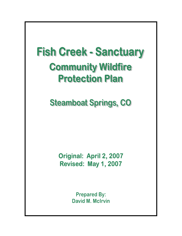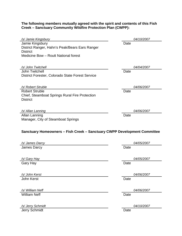#### **The following members mutually agreed with the spirit and contents of this Fish Creek – Sanctuary Community Wildfire Protection Plan (CWPP):**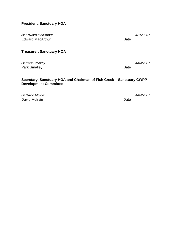# **President, Sanctuary HOA**

*/s/ Edward MacArthur 04/16/2007* 

Edward MacArthur Date

# **Treasurer, Sanctuary HOA**

*/s/ Park Smalley 04/04/2007* 

Park Smalley Date

#### **Secretary, Sanctuary HOA and Chairman of Fish Creek – Sanctuary CWPP Development Committee**

*/s/ David McIrvin 04/04/2007* 

David McIrvin **Date**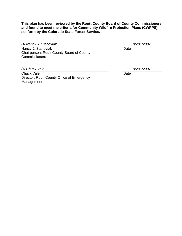**This plan has been reviewed by the Routt County Board of County Commissioners and found to meet the criteria for Community Wildfire Protection Plans (CWPPS) set forth by the Colorado State Forest Service.** 

*/s/ Nancy J. Stahoviak 05/01/2007* 

Nancy J. Stahoviak Date Chairperson, Routt County Board of County **Commissioners** 

*/s/ Chuck Vale 05/01/2007* 

Chuck Vale **Date** Date Date Date Date Date Director, Routt County Office of Emergency Management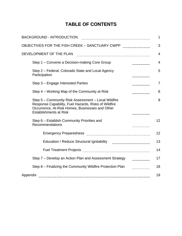# **TABLE OF CONTENTS**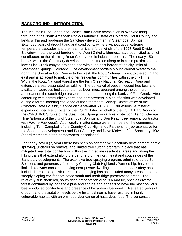# **BACKGROUND – INTRODUCTION**

The Mountain Pine Beetle and Spruce Bark Beetle devastation is overwhelming throughout the North American Rocky Mountains, state of Colorado, Routt County and lands within and bordering the Sanctuary development in Steamboat Springs. Extended years of drought and arid conditions, winters without usual extreme temperature cascades and the near hurricane force winds of the 1997 Routt Divide Blowdown near the west border of the Mount Zirkel wilderness have been cited as chief contributors to the alarming Routt County beetle induced tree loss. The nearly 150 homes within the Sanctuary development are situated along or in close proximity to the lower Fish Creek canyon drainage and within the east border of the city limits of Steamboat Springs, Colorado. The development borders Mount Werner Water to the north, the Sheraton Golf Course to the west, the Routt National Forest to the south and east and is adjacent to multiple other residential communities within the city limits. Within the Routt National Forest are the Fish Creek National Recreation Area and extensive areas designated as wildlife. The upheaval of beetle induced tree loss and available hazardous fuel substrate has been most apparent among the conifers abundant on the south ridge preservation area and along the banks of Fish Creek. After conferring with community experts and homeowners, a plan of action was developed during a formal meeting convened at the Steamboat Springs District office of the Colorado State Forestry Service on **September 21, 2006**. Our extensive roster of experts included Kent Foster of the USFS, John Twitchell of the CSFS, Bart Brown of the CSFS, Bob Struble of the Steamboat Springs Rural Fire Protection District, George Hine (arborist) of the city of Steamboat Springs and Don Read (tree removal contractor with Foxfire Fuelwood). Additionally in attendance were members of the community including Tom Campbell of the Country Club Highlands Partnership (representative for the Sanctuary development) and Park Smalley and Dave McIrvin of the Sanctuary HOA (board members of the homeowners' association).

For nearly seven (7) years there has been an aggressive Sanctuary development beetle spraying, underbrush removal and limited tree cutting program in place that has mitigated near total conifer loss within the immediate residential areas and along the hiking trails that extend along the periphery of the north, east and south sides of the Sanctuary development. The extensive tree-spraying program, administered by Sol Solutions and generously funded by Country Club Highlands Partnership, has been limited by owner consent spraying near private dwellings, and for habitat safety has not included areas along Fish Creek. The spraying has not included many areas along the steeply sloping conifer dominated south and north ridge preservation areas. The relatively sun-sheltered, south ridge preservation area is a mature, species diverse forest dominated by lodgepole pine and spruce and appears to have the most obvious beetle induced conifer loss and presence of hazardous fuelwood. Repeated years of drought and precipitation levels below historical norms have resulted in highly vulnerable habitat with an ominous abundance of hazardous fuel. The consensus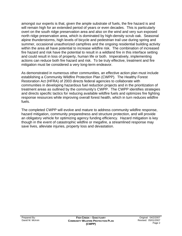amongst our experts is that, given the ample substrate of fuels, the fire hazard is and will remain high for an extended period of years or even decades. This is particularly overt on the south ridge preservation area and also on the wind and very sun exposed north ridge preservation area, which is dominated by high-density scrub oak. Seasonal alpine thunderstorms, high levels of bicycle and pedestrian trail use during spring and summer, occasional unauthorized campfires and the ongoing residential building activity within the area all have potential to increase wildfire risk. The combination of increased fire hazard and risk have the potential to result in a wildland fire in this interface setting and could result in loss of property, human life or both. Imperatively, implementing actions can reduce both fire hazard and risk. To be truly effective, treatment and fire mitigation must be considered a very long-term endeavor.

As demonstrated in numerous other communities, an effective action plan must include establishing a Community Wildfire Protection Plan (CWPP). The Healthy Forest Restoration Act (HFRA) of 2003 directs federal agencies to collaborate with communities in developing hazardous fuel reduction projects and in the prioritization of treatment areas as outlined by the community's CWPP. The CWPP identifies strategies and directs specific tactics for reducing available wildfire fuels and optimizes fire fighting response resources while improving overall forest health, which in turn reduces wildfire fuels.

The completed CWPP will evolve and mature to address community wildfire response, hazard mitigation, community preparedness and structure protection, and will provide an obligatory vehicle for optimizing agency funding efficiency. Hazard mitigation is key though in the event of catastrophic wildfire or megafire, a streamlined response may save lives, alleviate injuries, property loss and devastation.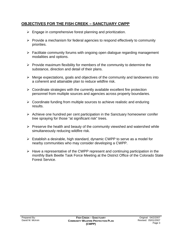# **OBJECTIVES FOR THE FISH CREEK – SANCTUARY CWPP**

- $\triangleright$  Engage in comprehensive forest planning and prioritization.
- $\triangleright$  Provide a mechanism for federal agencies to respond effectively to community priorities.
- $\triangleright$  Facilitate community forums with ongoing open dialogue regarding management modalities and options.
- $\triangleright$  Provide maximum flexibility for members of the community to determine the substance, direction and detail of their plans.
- $\triangleright$  Merge expectations, goals and objectives of the community and landowners into a coherent and attainable plan to reduce wildfire risk.
- $\triangleright$  Coordinate strategies with the currently available excellent fire protection personnel from multiple sources and agencies across property boundaries.
- $\triangleright$  Coordinate funding from multiple sources to achieve realistic and enduring results.
- $\triangleright$  Achieve one hundred per cent participation in the Sanctuary homeowner conifer tree spraying for those "at significant risk" trees.
- $\triangleright$  Preserve the health and beauty of the community viewshed and watershed while simultaneously reducing wildfire risk.
- $\triangleright$  Establish a desirable, high standard, dynamic CWPP to serve as a model for nearby communities who may consider developing a CWPP.
- $\triangleright$  Have a representative of the CWPP represent and continuing participation in the monthly Bark Beetle Task Force Meeting at the District Office of the Colorado State Forest Service.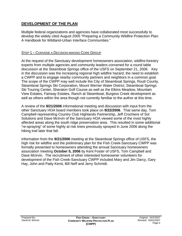# **DEVELOPMENT OF THE PLAN**

Multiple federal organizations and agencies have collaborated most successfully to develop the widely cited August 2005 "Preparing a Community Wildfire Protection Plan: A Handbook for Wildland-Urban Interface Communities."

# STEP 1 – CONVENE A DECISION-MAKING CORE GROUP

At the request of the Sanctuary development homeowners association, wildfire-forestry experts from multiple agencies and community leaders convened for a round table discussion at the Steamboat Springs office of the USFS on September 21, 2006. Key in the discussion was the increasing regional high wildfire hazard, the need to establish a CWPP and to engage nearby community partners and neighbors in a common goal. The scope of the CWPP may well include the City of Steamboat Springs, Routt County, Steamboat Springs Ski Corporation, Mount Werner Water District, Steamboat Springs Ski Touring Center, Sheraton Golf Course as well as the Elkins Meadow, Mountain View Estates, Fairway Estates, Ranch at Steamboat, Burgess Creek development as well as others within the area though not currently familiar to the author at this time.

A review of the **9/21/2006** informational meeting and discussion with input from the other Sanctuary HOA board members took place on **9/22/2006**. That same day, Tom Campbell representing Country Club Highlands Partnership, Jeff Crochiere of Sol Solutions and Dave McIrvin of the Sanctuary HOA viewed some of the most highly affected areas along the south ridge preservation area. This resulted in some additional "re-spraying" of some highly at risk trees previously sprayed in June 2006 along the hiking trail later that fall.

Information from the **9/21/2006** meeting at the Steamboat Springs office of USFS, the high risk for wildfire and the preliminary plan for the Fish Creek-Sanctuary CWPP was formally presented to homeowners attending the annual Sanctuary homeowners association meeting **October 5, 2006** by Kent Foster of USFS, Tom Campbell and Dave McIrvin. The recruitment of other interested homeowner volunteers for development of the Fish Creek-Sanctuary CWPP included Mary and Jim Darcy, Gary Hay, John and Patty Kerst, Bill Neff and Jerry Schmidt.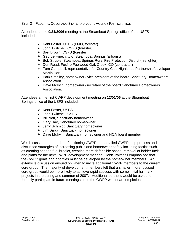### STEP 2 – FEDERAL, COLORADO STATE AND LOCAL AGENCY PARTICIPATION

Attendees at the **9/21/2006** meeting at the Steamboat Springs office of the USFS included:

- ¾ Kent Foster, USFS (FMO, forester)
- ¾ John Twitchell, CSFS (forester)
- ¾ Bart Brown, CSFS (forester)
- ¾ George Hine, city of Steamboat Springs (arborist)
- ¾ Bob Struble, Steamboat Springs Rural Fire Protection District (firefighter)
- ¾ Don Read, Foxfire Fuelwood-Oak Creek, CO (contractor)
- ¾ Tom Campbell, representative for Country Club Highlands Partnership/developer Martin Hart.
- ¾ Park Smalley, homeowner / vice president of the board Sanctuary Homeowners Association
- ¾ Dave McIrvin, homeowner /secretary of the board Sanctuary Homeowners Association.

Attendees at the first CWPP development meeting on **12/01/06** at the Steamboat Springs office of the USFS included:

- ¾ Kent Foster, USFS
- ¾ John Twitchell, CSFS
- $\triangleright$  Bill Neff, Sanctuary homeowner
- ¾ Gary Hay, Sanctuary homeowner
- ¾ Jerry Schmidt, Sanctuary homeowner
- $\triangleright$  Jim Darcy, Sanctuary homeowner
- ¾ Dave McIrvin, Sanctuary homeowner and HOA board member

We discussed the need for a functioning CWPP, the detailed CWPP step process and discussed strategies of increasing public and homeowner safety including tactics such as creating shaded fuel breaks, creating more defensible space, removal of ladder fuels and plans for the next CWPP development meeting. John Twitchell emphasized that the CWPP goals and priorities must be developed by the homeowner members. An extensive discussion ensued on when to invite additional CWPP members to the current core group. The majority of development members felt that a smaller, more focused core group would be more likely to achieve rapid success with some initial hallmark projects in the spring and summer of 2007. Additional partners would be asked to formally participate in future meetings once the CWPP was near completion.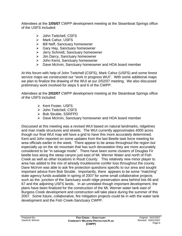Attendees at the **1/05/07** CWPP development meeting at the Steamboat Springs office of the USFS included:

- ¾ John Twitchell, CSFS
- ¾ Mark Cahur, USFS
- $\triangleright$  Bill Neff, Sanctuary homeowner
- $\triangleright$  Gary Hay, Sanctuary homeowner
- ¾ Jerry Schmidt, Sanctuary homeowner
- ¾ Jim Darcy, Sanctuary homeowner
- ¾ John Kerst, Sanctuary homeowner
- ¾ Dave McIrvin, Sanctuary homeowner and HOA board member

At this forum with help of John Twitchell (CSFS), Mark Cahur (USFS) and some forest service maps we constructed our "work in progress WUI". With some additional maps we plan to finalize the drawing of the WUI at our 2/02/07 meeting. We also discussed preliminary work involved for steps 5 and 6 of the CWPP.

Attendees at the **2/02/07** CWPP development meeting at the Steamboat Springs office of the USFS included:

- ¾ Kent Foster, USFS
- ¾ John Twitchell, CSFS
- ¾ Bob Struble, SSRFPD
- ¾ Dave McIrvin, Sanctuary homeowner and HOA board member

Discussed at this meeting was a revised WUI based on natural landmarks, ridgelines and man made structures and streets. The WUI currently approximates 4000 acres though our final WUI map will have a grid to have this more accurately determined. Kent and John reported on some updates from the last Beetle task force meeting for area officials earlier in the week. There appear to be areas throughout the region but especially up on the ski mountain that has such devastation they are more accurately considered to be "in salvage mode". There have been some clusters of Douglas Fir beetle loss along the steep canyon just east of Mt. Werner Water and north of Fish Creek as well as other locations in Routt County. This relatively new minor player to area has added to the mix of already troublesome conifer loss throughout the county. Dave McIrvin was able to ask fire protection questions specific to our area and sought important advice from Bob Struble. Importantly, there appears to be some "matching" state agency funds available in spring of 2007 for some small collaborative projects such as the junction of the Sanctuary south ridge preservation area behind lots 66 and 67 and the adjoining USFS lands. In an unrelated though important development, the plans have been finalized for the construction of the Mt. Werner water tank east of Burgess Creek development and construction will take place during the summer of this 2007. Some future, collaborative, fire mitigation projects could tie in with the water tank development and the Fish Creek-Sanctuary CWPP.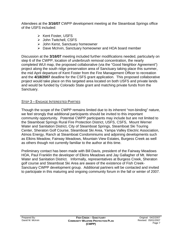Attendees at the **3/16/07** CWPP development meeting at the Steamboat Springs office of the USFS included:

- ¾ Kent Foster, USFS
- ¾ John Twitchell, CSFS
- ¾ John Kerst, Sanctuary homeowner
- ¾ Dave McIrvin, Sanctuary homeowner and HOA board member

Discussion at the **3/16/07** meeting included further modifications needed, particularly on step 6 of the CWPP, location of underbrush removal concentration, the nearly completed WUI map, the proposed collaborative (via the "Good Neighbor Agreement") project along the south ridge preservation area of Sanctuary taking place this summer, the mid April departure of Kent Foster from the Fire Management Officer to recreation and the **4/18/2007** deadline for the CSFS grant application. This proposed collaborative project would take place on this targeted area located on both USFS and private lands and would be funded by Colorado State grant and matching private funds from the Sanctuary.

# STEP 3 – ENGAGE INTERESTED PARTIES

Though the scope of the CWPP remains limited due to its inherent "non-binding" nature, we feel strongly that additional participants should be invited to this important community opportunity. Potential CWPP participants may include but are not limited to the Steamboat Springs Rural Fire Protection District, USFS, CSFS, Mount Werner Water and Sanitation District, City of Steamboat Springs, Steamboat Ski Touring Center, Sheraton Golf Course, Steamboat Ski Area, Yampa Valley Electric Association, Atmos Energy, Ranch at Steamboat Condominiums and adjoining developments such as Elkins Meadow, Fairway Meadows, Mountain View Estates, Burgess Creek as well as others though not currently familiar to the author at this time.

Preliminary contact has been made with Bill Davis, president of the Fairway Meadows HOA, Paul Franklin the developer of Elkins Meadows and Jay Gallagher of Mt. Werner Water and Sanitation District. Informally, representatives at Burgess Creek, Sheraton golf course and Steamboat Ski Area are aware of the existence of Fish Creek-Sanctuary CWPP development group. Additional partners will be contacted and invited to participate in this maturing and ongoing community forum in the fall or winter of 2007.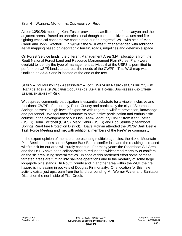#### STEP 4 – WORKING MAP OF THE COMMUNITY AT RISK

At our **12/01/06** meeting, Kent Foster provided a satellite map of the canyon and the adjacent areas. Based on unprofessional though common citizen values and fire fighting technical concerns we constructed our "in progress" WUI with help of Mark Cahur and John Twitchell. On **2/02/07** the WUI was further amended with additional aerial mapping based on geographic terrain, roads, ridgelines and defensible space.

On Forest Service lands, the different Management Area (MA) allocations from the Routt National Forest Land and Resource Management Plan (Forest Plan) were overlaid to identify the type of management activities that the USFS is permitted to perform on USFS lands to address the needs of the CWPP. This WUI map was finalized on **3/9/07** and is located at the end of the text.

#### STEP 5 – COMMUNITY RISK ASSESSMENT – LOCAL WILDFIRE RESPONSE CAPABILITY, FUEL HAZARDS, RISKS OF WILDFIRE OCCURRENCE, AT-RISK HOMES, BUSINESSES AND OTHER ESTABLISHMENTS AT RISK

Widespread community participation is essential substrate for a viable, inclusive and functional CWPP. Fortunately, Routt County and particularly the city of Steamboat Springs possess a high level of expertise with regard to wildfire prevention, knowledge and personnel. We feel most fortunate to have active participation and enthusiastic counsel in the development of our Fish Creek-Sanctuary CWPP from Kent Foster (USFS), John Twitchell (CSFS), Mark Cahur (USFS) and Bob Struble (Steamboat Springs Rural Fire Protection District). Dave McIrvin attended the 3**/1/07** Bark Beetle Task Force Meeting and met with additional members of the FireWise community.

In the expert opinion of members representing multiple agencies, the risk of Mountain Pine Beetle and less so the Spruce Bark Beetle conifer loss and the resulting increased wildfire risk for our area will surely continue. For many years the Steamboat Ski Area and the USFS have been collaborating to reduce the widespread mortality of conifers on the ski area using several tactics. In spite of this hardened effort some of these targeted areas are turning into salvage operations due to the mortality of some large lodgepole pine stands. In Routt County and in another area within the WUI, the fire hazard is increasing in pockets of Douglas Fir mortality. One location for this new activity exists just upstream from the land surrounding Mt. Werner Water and Sanitation District on the north side of Fish Creek.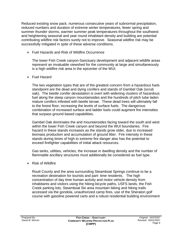Reduced existing snow pack, numerous consecutive years of subnormal precipitation, reduced numbers and duration of extreme winter temperatures, fewer spring and summer thunder storms, warmer summer peak temperatures throughout the southwest and heightening seasonal and year round inhabitant density and building are potential contributing wildfire risk factors surely not to improve. Seasonal wildfire risk may be successfully mitigated in spite of these adverse conditions.

 $\triangleright$  Fuel Hazards and Risk of Wildfire Occurrence

The lower Fish Creek canyon-Sanctuary development and adjacent wildlife areas represent an invaluable viewshed for the community at large and simultaneously is a high wildfire risk area in the epicenter of the WUI.

# $\triangleright$  Fuel Hazard

The two vegetation types that are of the greatest concern from a hazardous fuels standpoint are the dead and dying conifers and stands of Gambel Oak (scrub oak). The beetle conifer devastation is overt with widening clusters of hazardous fuel along the steep canyon mountainsides and the hundreds of pitch tube laden mature conifers infested with beetle larvae. These dead trees will ultimately fall to the forest floor, increasing the levels of surface fuels. The dangerous combination of increased surface and ladder fuels could augment fire intensities that surpass ground based capabilities.

Gambel Oak dominates the arid mountainsides facing toward the south and west within the lower Fish Creek canyon and beyond the WUI boundaries. Fire hazard in these stands increases as the stands grow older, due to increased biomass production and accumulation of ground litter. Fire intensity in these stands during times of high to extreme fire danger also has the potential to exceed firefighter capabilities of initial attack resources.

Gas tanks, utilities, vehicles, the increase in dwelling density and the number of flammable ancillary structures must additionally be considered as fuel type.

 $\triangleright$  Risk of Wildfire

Routt County and the area surrounding Steamboat Springs continue to be a recreation destination for tourists and part- time residents. The high concentration of day time human activity and motor vehicle density from inhabitants and visitors using the hiking-bicycle paths, USFS lands, the Fish Creek parking lots, Steamboat Ski area mountain biking and hiking trails accessed via the gondola, unauthorized camp fires, use of the Sheraton golf course with gasoline powered carts and a robust residential building environment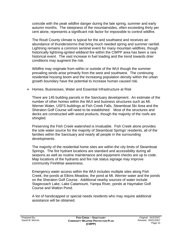coincide with the peak wildfire danger during the late spring, summer and early autumn months. The steepness of the mountainsides, often exceeding thirty per cent alone, represents a significant risk factor for impossible to control wildfire.

The Routt County climate is typical for the arid southwest and receives an abundance of thunderstorms that bring much needed spring and summer rainfall. Lightning remains a common sentinel event for many mountain wildfires, though historically lightning-ignited wildland fire within the CWPP area has been a rare historical event. The vast increase in fuel loading and the trend towards drier conditions may augment the risk.

Wildfire may originate from within or outside of the WUI though the summer prevailing winds arise primarily from the west and southwest. The continuing residential housing boom and the increasing population density within the urban growth boundary have the potential to increase human caused risk.

¾ Homes, Businesses, Water and Essential Infrastructure at Risk

There are 145 building parcels in the Sanctuary development. An estimate of the number of other homes within the WUI and business structures such as Mt. Werner Water, USFS buildings at Fish Creek Falls, Steamboat Ski Area and the Sheraton Golf Course will need to be established. Most of the structures and decks are constructed with wood products, though the majority of the roofs are shingled.

Preserving the Fish Creek watershed is invaluable. Fish Creek alone provides the sole water source for the majority of Steamboat Springs' residents, all of the families within the Sanctuary and nearly all people in the surrounding developments.

The majority of the residential home sites are within the city limits of Steamboat Springs. The fire hydrant locations are standard and accessibility during all seasons as well as routine maintenance and equipment checks are up to code. Map locations of the hydrants and fire risk status signage may improve community FireWise awareness.

Emergency water access within the WUI includes multiple sites along Fish Creek, the ponds at Elkins Meadow, the pond at Mt. Werner water and the ponds on the Sheraton Golf Course. Additional nearby sources of water include Stagecoach Lake, Lake Catamount, Yampa River, ponds at Haymaker Golf Course and Walton Pond.

A list of handicapped or special needs residents who may require additional assistance will be obtained.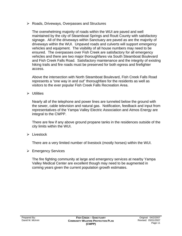¾ Roads, Driveways, Overpasses and Structures

The overwhelming majority of roads within the WUI are paved and well maintained by the city of Steamboat Springs and Routt County with satisfactory signage. All of the driveways within Sanctuary are paved as are the majority of driveways within the WUI. Unpaved roads and culverts will support emergency vehicles and equipment. The visibility of all house numbers may need to be ensured. The overpasses over Fish Creek are satisfactory for all emergency vehicles and there are two major thoroughfares via South Steamboat Boulevard and Fish Creek Falls Road. Satisfactory maintenance and the integrity of existing hiking trails and fire roads must be preserved for both egress and firefighter access.

Above the intersection with North Steamboat Boulevard, Fish Creek Falls Road represents a "one way in and out" thoroughfare for the residents as well as visitors to the ever popular Fish Creek Falls Recreation Area.

 $\triangleright$  Utilities

Nearly all of the telephone and power lines are tunneled below the ground with the sewer, cable television and natural gas. Notification, feedback and input from representatives of the Yampa Valley Electric Association and Atmos Energy are integral to the CWPP.

There are few if any above ground propane tanks in the residences outside of the city limits within the WUI.

 $\triangleright$  Livestock

There are a very limited number of livestock (mostly horses) within the WUI.

¾ Emergency Services

The fire fighting community at large and emergency services at nearby Yampa Valley Medical Center are excellent though may need to be augmented in coming years given the current population growth estimates.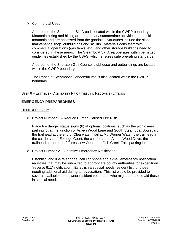#### $\triangleright$  Commercial Uses

A portion of the Steamboat Ski Area is located within the CWPP boundary. Mountain biking and hiking are the primary summertime activities on the ski mountain and are accessed from the gondola. Structures include the slope maintenance shop, outbuildings and ski lifts. Materials consistent with commercial operations (gas tanks, etc), and other storage buildings need to considered in these areas. The Steamboat Ski Area operates within permitted guidelines established by the USFS, which ensures safe operating standards.

A portion of the Sheraton Golf Course, clubhouse and outbuildings are located within the CWPP boundary.

The Ranch at Steamboat Condominiums is also located within the CWPP boundary.

#### STEP 6 – ESTABLISH COMMUNITY PRIORITIES AND RECOMMENDATIONS

# **EMERGENCY PREPAREDNESS**

### HIGHEST PRIORITY

 $\triangleright$  Project Number 1 – Reduce Human Caused Fire Risk

Place fire danger status signs (6) at optimal locations, such as the picnic area parking lot at the junction of Aspen Wood Lane and South Steamboat Boulevard, the trailhead at the end of Clearwater Trail at Mt. Werner Water, the trailhead at the cul-de-sac of Elkridge Court, the cul-de-sac of Aspen Wood Drive, the trailhead at the end of Forestview Court and Fish Creek Falls parking lot.

 $\triangleright$  Project Number 2 – Optimize Emergency Notification

Establish land line telephone, cellular phone and e-mail emergency notification registries that may be submitted to appropriate county authorities for expeditious "reverse 911" notification. Establish a special needs resident list for those needing additional aid during an evacuation. This list would be provided to several available homeowner resident volunteers who might be able to aid those in special need.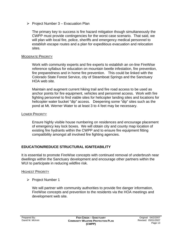$\triangleright$  Project Number 3 – Evacuation Plan

The primary key to success is fire hazard mitigation though simultaneously the CWPP must provide contingencies for the worst case scenario. That said, we will plan with local fire, police, sheriffs and emergency medical personnel to establish escape routes and a plan for expeditious evacuation and relocation sites.

#### MODERATE PRIORITY

Work with community experts and fire experts to establish an on-line FireWise reference syllabus for education on mountain beetle infestation, fire prevention, fire preparedness and in home fire prevention. This could be linked with the Colorado State Forest Service, city of Steamboat Springs and the Sanctuary HOA web site.

Maintain and augment current hiking trail and fire road access to be used as anchor points for fire equipment, vehicles and personnel access. Work with fire fighting personnel to find viable sites for helicopter landing sites and locations for helicopter water bucket "dip" access. Deepening some "dip" sites such as the pond at Mt. Werner Water to at least 3 to 4 feet may be necessary.

#### LOWER PRIORITY

Ensure highly visible house numbering on residences and encourage placement of emergency key lock boxes. We will obtain city and county map location of existing fire hydrants within the CWPP and to ensure fire equipment fitting compatibility amongst all involved fire fighting agencies.

# **EDUCATION/REDUCE STRUCTURAL IGNITEABILITY**

It is essential to promote FireWise concepts with continued removal of underbrush near dwellings within the Sanctuary development and encourage other partners within the WUI to participate in reducing wildfire risk.

#### HIGHEST PRIORITY

¾ Project Number 1

We will partner with community authorities to provide fire danger information, FireWise concepts and prevention to the residents via the HOA meetings and development web site.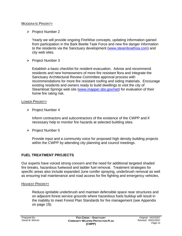#### MODERATE PRIORITY

¾ Project Number 2

Yearly we will provide ongoing FireWise concepts, updating information gained from participation in the Bark Beetle Task Force and new fire danger information to the residents via the Sanctuary development (www.steamboathoa.com) and city web sites.

¾ Project Number 3

Establish a basic checklist for resident evacuation. Advise and recommend residents and new homeowners of more fire resistant flora and integrate the Sanctuary Architectural Review Committee approval process with recommendations for more fire resistant roofing and siding materials. Encourage existing residents and owners ready to build dwellings to visit the city of Steamboat Springs web site (www.mapper.sbs.gov/net) for evaluation of their home fire rating risk.

#### LOWER PRIORITY

¾ Project Number 4

Inform contractors and subcontractors of the existence of the CWPP and if necessary help to monitor fire hazards at selected building sites.

¾ Project Number 5

Provide input and a community voice for proposed high density building projects within the CWPP by attending city planning and council meetings.

# **FUEL TREATMENT PROJECTS**

Our experts have voiced strong concern and the need for additional targeted shaded fire breaks, hazardous fuelwood and ladder fuel removal. Treatment strategies for specific areas also include expanded June conifer spraying, underbrush removal as well as ensuring trail maintenance and road access for fire fighting and emergency vehicles.

#### HIGHEST PRIORITY

Reduce ignitable underbrush and maintain defensible space near structures and on adjacent forest service grounds where hazardous fuels buildup will result in the inability to meet Forest Plan Standards for fire management (see Appendix on page 19).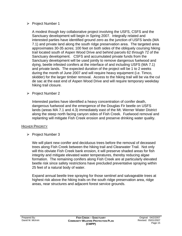### ¾ Project Number 1

A modest though key collaborative project involving the USFS, CSFS and the Sanctuary development will begin in Spring 2007. Integrally related and interested parties have identified ground zero as the junction of USFS lands (MA 7.1) and private land along the south ridge preservation area. The targeted area approximates 30-35 acres; 100 feet on both sides of the obliquely coursing hiking trail located south of Aspen Wood Drive and behind parcels 62 through 72 of the Sanctuary development. CSFS and accumulated private funds from the Sanctuary development will be used jointly to remove dangerous fuelwood and dying, beetle infested conifers at the interface of and including USFS (MA 7.1) and private lands. The expected duration of the project will be 1 to 2 weeks during the month of June 2007 and will require heavy equipment (i.e. Timco, skidder) for the larger timber removal. Access to the hiking trail will be via the cul de sac at the east end of Aspen Wood Drive and will require temporary weekday hiking trail closure.

### ¾ Project Number 2

Interested parties have identified a heavy concentration of conifer death, dangerous fuelwood and the emergence of the Douglas Fir beetle on USFS lands (areas MA 7.1 and 4.3) immediately east of the Mt. Werner Water District along the steep north facing canyon sides of Fish Creek. Fuelwood removal and replanting will mitigate Fish Creek erosion and preserve drinking water quality.

#### HIGHER PRIORITY

¾ Project Number 3

We will plant new conifer and deciduous trees before the removal of deceased trees along Fish Creek between the hiking trail and Clearwater Trail. Not only will this obviate Fish Creek bank erosion, it will preserve shaded areas for fish integrity and mitigate elevated water temperatures, thereby reducing algae formation. The remaining conifers along Fish Creek are at particularly elevated beetle risk since safety restrictions have precluded preventative spraying within 25 feet of a natural body of water.

Expand annual beetle tree spraying for those sentinel and salvageable trees at highest risk above the hiking trails on the south ridge preservation area, ridge areas, near structures and adjacent forest service grounds.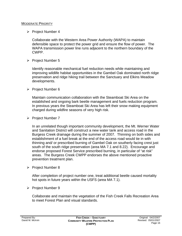#### MODERATE PRIORITY

 $\triangleright$  Project Number 4

Collaborate with the Western Area Power Authority (WAPA) to maintain defensible space to protect the power grid and ensure the flow of power. The WAPA transmission power line runs adjacent to the northern boundary of the CWPP.

¾ Project Number 5

Identify reasonable mechanical fuel reduction needs while maintaining and improving wildlife habitat opportunities in the Gambel Oak dominated north ridge preservation and ridge hiking trail between the Sanctuary and Elkins Meadow developments.

¾ Project Number 6

Maintain communication collaboration with the Steamboat Ski Area on the established and ongoing bark beetle management and fuels reduction program. In previous years the Steamboat Ski Area has left their snow making equipment charged during wildfire seasons of very high risk.

¾ Project Number 7

In an unrelated though important community development, the Mt. Werner Water and Sanitation District will construct a new water tank and access road in the Burgess Creek drainage during the summer of 2007. Thinning on both sides and establishment of a fuel break at the end of the access road would tie in with thinning and/ or prescribed burning of Gambel Oak on southerly facing crest just south of the south ridge preservation (area MA 7.1 and 8.22). Encourage and endorse proposed Forest Service prescribed burning, in particular of "at risk" areas. The Burgess Creek CWPP endorses the above mentioned proactive prevention treatment plan.

¾ Project Number 8

After completion of project number one, treat additional beetle caused mortality hot spots in future years within the USFS (area MA 7.1).

¾ Project Number 9

Collaborate and maintain the vegetation of the Fish Creek Falls Recreation Area to meet Forest Plan and visual standards.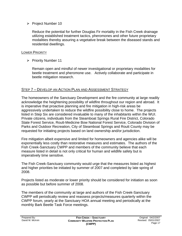¾ Project Number 10

Reduce the potential for further Douglas Fir mortality in the Fish Creek drainage utilizing established treatment tactics, pheromones and other future proprietary modalities thereby assuring a vegetative break between the diseased stands and residential dwellings.

### LOWER PRIORITY

¾ Priority Number 11

Remain open and mindful of newer investigational or proprietary modalities for beetle treatment and pheromone use. Actively collaborate and participate in beetle mitigation research.

# STEP 7 – DEVELOP AN ACTION PLAN AND ASSESSMENT STRATEGY

The homeowners of the Sanctuary Development and the fire community at large readily acknowledge the heightening possibility of wildfire throughout our region and abroad. It is imperative that proactive planning and fire mitigation in high-risk areas be aggressively undertaken to reduce the wildfire possibility close to home. The projects listed in Step Six are considered invaluable to many of the inhabitants within the WUI. Private citizens, individuals from the Steamboat Springs Rural Fire District, Colorado State Forest Service, Routt-Medicine Bow National Forest Service, Colorado Division of Parks and Outdoor Recreation, City of Steamboat Springs and Routt County may be requested for initiating projects based on land ownership and/or jurisdiction.

Fire mitigation albeit expensive and limited for homeowners and agencies alike will be exponentially less costly than restorative measures and estimates. The authors of the Fish Creek-Sanctuary CWPP and members of the community believe that each measure listed in detail is not only critical for human and wildlife safety but is imperatively time sensitive.

The Fish Creek-Sanctuary community would urge that the measures listed as highest and higher priorities be initiated by summer of 2007 and completed by late spring of 2008.

Projects listed as moderate or lower priority should be considered for initiation as soon as possible but before summer of 2008.

The members of the community at large and authors of the Fish Creek-Sanctuary CWPP will periodically review and reassess projects/measures quarterly within the CWPP forum, yearly at the Sanctuary HOA annual meeting and periodically at the monthly Bark Beetle Task Force meetings.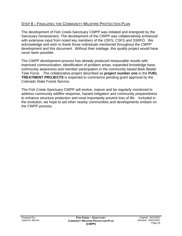# STEP 8 – FINALIZING THE COMMUNITY WILDFIRE PROTECTION PLAN

The development of Fish Creek-Sanctuary CWPP was initiated and energized by the Sanctuary homeowners. The development of the CWPP was collaboratively enhanced with extensive input from noted key members of the USFS, CSFS and SSRFD. We acknowledge and wish to thank those individuals mentioned throughout the CWPP development and this document. Without their tutelage, this quality project would have never been possible.

The CWPP development process has already produced measurable results with improved communication, identification of problem areas, expanded knowledge base, community awareness and member participation in the community based Bark Beetle Task Force. The collaborative project described as **project number one** in the **FUEL TREATMENT PROJECTS** is expected to commence pending grant approval by the Colorado State Forest Service.

The Fish Creek-Sanctuary CWPP will evolve, mature and be regularly monitored to address community wildfire response, hazard mitigation and community preparedness to enhance structure protection and most importantly prevent loss of life. Included in the evolution, we hope to aid other nearby communities and developments embark on the CWPP process.